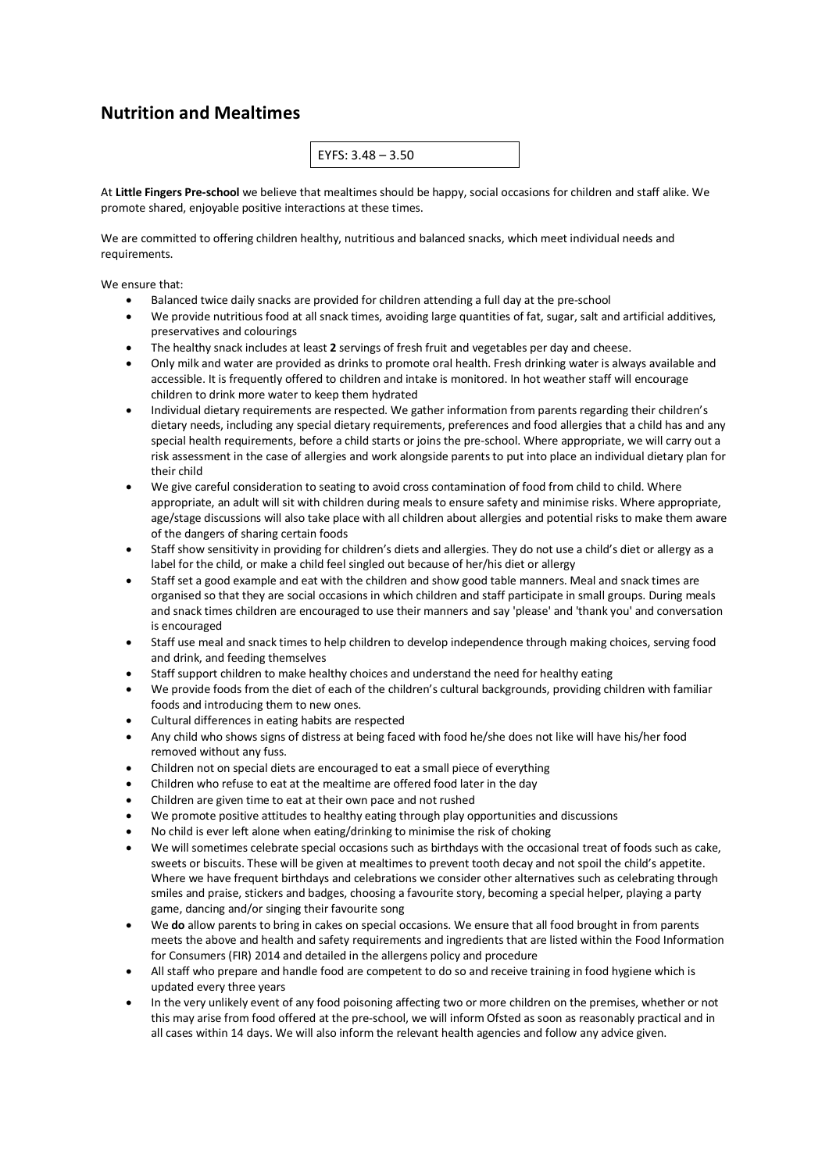## **Nutrition and Mealtimes**

| $EYFS: 3.48 - 3.50$ |
|---------------------|
|---------------------|

At **Little Fingers Pre-school** we believe that mealtimes should be happy, social occasions for children and staff alike. We promote shared, enjoyable positive interactions at these times.

We are committed to offering children healthy, nutritious and balanced snacks, which meet individual needs and requirements.

We ensure that:

- Balanced twice daily snacks are provided for children attending a full day at the pre-school
- We provide nutritious food at all snack times, avoiding large quantities of fat, sugar, salt and artificial additives, preservatives and colourings
- The healthy snack includes at least **2** servings of fresh fruit and vegetables per day and cheese.
- Only milk and water are provided as drinks to promote oral health. Fresh drinking water is always available and accessible. It is frequently offered to children and intake is monitored. In hot weather staff will encourage children to drink more water to keep them hydrated
- Individual dietary requirements are respected. We gather information from parents regarding their children's dietary needs, including any special dietary requirements, preferences and food allergies that a child has and any special health requirements, before a child starts or joins the pre-school. Where appropriate, we will carry out a risk assessment in the case of allergies and work alongside parents to put into place an individual dietary plan for their child
- We give careful consideration to seating to avoid cross contamination of food from child to child. Where appropriate, an adult will sit with children during meals to ensure safety and minimise risks. Where appropriate, age/stage discussions will also take place with all children about allergies and potential risks to make them aware of the dangers of sharing certain foods
- Staff show sensitivity in providing for children's diets and allergies. They do not use a child's diet or allergy as a label for the child, or make a child feel singled out because of her/his diet or allergy
- Staff set a good example and eat with the children and show good table manners. Meal and snack times are organised so that they are social occasions in which children and staff participate in small groups. During meals and snack times children are encouraged to use their manners and say 'please' and 'thank you' and conversation is encouraged
- Staff use meal and snack times to help children to develop independence through making choices, serving food and drink, and feeding themselves
- Staff support children to make healthy choices and understand the need for healthy eating
- We provide foods from the diet of each of the children's cultural backgrounds, providing children with familiar foods and introducing them to new ones.
- Cultural differences in eating habits are respected
- Any child who shows signs of distress at being faced with food he/she does not like will have his/her food removed without any fuss.
- Children not on special diets are encouraged to eat a small piece of everything
- Children who refuse to eat at the mealtime are offered food later in the day
- Children are given time to eat at their own pace and not rushed
- We promote positive attitudes to healthy eating through play opportunities and discussions
- No child is ever left alone when eating/drinking to minimise the risk of choking
- We will sometimes celebrate special occasions such as birthdays with the occasional treat of foods such as cake, sweets or biscuits. These will be given at mealtimes to prevent tooth decay and not spoil the child's appetite. Where we have frequent birthdays and celebrations we consider other alternatives such as celebrating through smiles and praise, stickers and badges, choosing a favourite story, becoming a special helper, playing a party game, dancing and/or singing their favourite song
- We **do** allow parents to bring in cakes on special occasions. We ensure that all food brought in from parents meets the above and health and safety requirements and ingredients that are listed within the Food Information for Consumers (FIR) 2014 and detailed in the allergens policy and procedure
- All staff who prepare and handle food are competent to do so and receive training in food hygiene which is updated every three years
- In the very unlikely event of any food poisoning affecting two or more children on the premises, whether or not this may arise from food offered at the pre-school, we will inform Ofsted as soon as reasonably practical and in all cases within 14 days. We will also inform the relevant health agencies and follow any advice given.